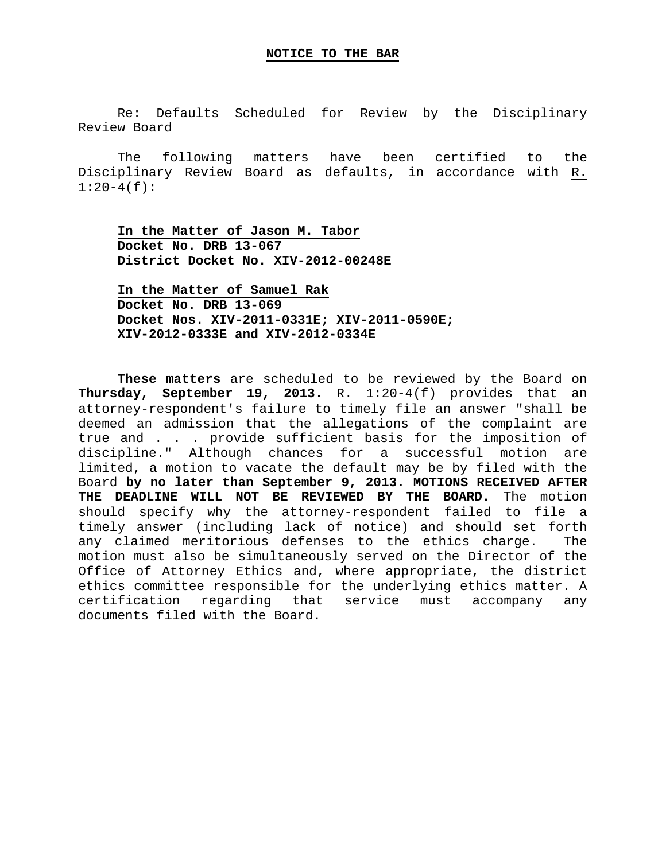Re: Defaults Scheduled for Review by the Disciplinary Review Board

The following matters have been certified to the Disciplinary Review Board as defaults, in accordance with R.  $1:20-4(f):$ 

**In the Matter of Jason M. Tabor Docket No. DRB 13-067 District Docket No. XIV-2012-00248E**

**In the Matter of Samuel Rak Docket No. DRB 13-069 Docket Nos. XIV-2011-0331E; XIV-2011-0590E; XIV-2012-0333E and XIV-2012-0334E**

**These matters** are scheduled to be reviewed by the Board on **Thursday, September 19, 2013.** R. 1:20-4(f) provides that an attorney-respondent's failure to timely file an answer "shall be deemed an admission that the allegations of the complaint are true and . . . provide sufficient basis for the imposition of discipline." Although chances for a successful motion are limited, a motion to vacate the default may be by filed with the Board **by no later than September 9, 2013. MOTIONS RECEIVED AFTER THE DEADLINE WILL NOT BE REVIEWED BY THE BOARD.** The motion should specify why the attorney-respondent failed to file a timely answer (including lack of notice) and should set forth any claimed meritorious defenses to the ethics charge. The motion must also be simultaneously served on the Director of the Office of Attorney Ethics and, where appropriate, the district ethics committee responsible for the underlying ethics matter. A certification regarding that service must accompany any documents filed with the Board.